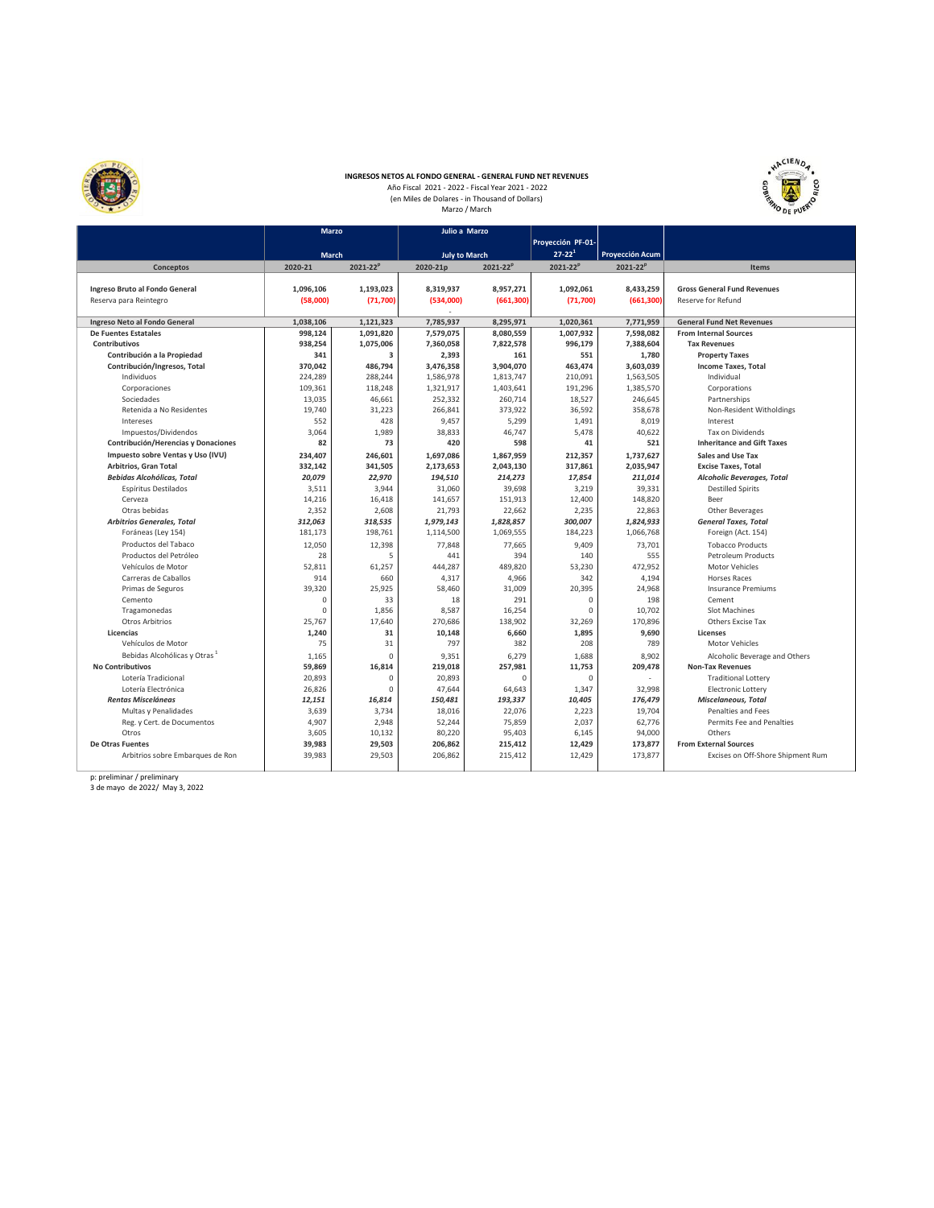

## **INGRESOS NETOS AL FONDO GENERAL - GENERAL FUND NET REVENUES**<br>Año Fiscal 2021 - 2022 - Fiscal Year 2021 - 2022<br>(en Miles de Dolares - in Thousand of Dollars)<br>Marzo / March



|                                          | <b>Marzo</b> |                 | Julio a Marzo               |            |                   |                 |                                    |  |  |  |
|------------------------------------------|--------------|-----------------|-----------------------------|------------|-------------------|-----------------|------------------------------------|--|--|--|
|                                          |              |                 |                             |            | Proyección PF-01- |                 |                                    |  |  |  |
|                                          | March        |                 | <b>July to March</b>        |            | $27 - 22^{1}$     | Proyección Acum |                                    |  |  |  |
| Conceptos                                | 2020-21      | $2021 - 22^{p}$ | $2021 - 22^{p}$<br>2020-21p |            | $2021 - 22^{p}$   | $2021 - 22^{p}$ | Items                              |  |  |  |
|                                          |              |                 |                             |            |                   |                 |                                    |  |  |  |
| Ingreso Bruto al Fondo General           | 1,096,106    | 1,193,023       | 8,319,937                   | 8,957,271  | 1,092,061         | 8,433,259       | <b>Gross General Fund Revenues</b> |  |  |  |
| Reserva para Reintegro                   | (58,000)     | (71, 700)       | (534,000)                   | (661, 300) | (71,700)          | (661, 300)      | Reserve for Refund                 |  |  |  |
|                                          |              |                 |                             |            |                   |                 |                                    |  |  |  |
| Ingreso Neto al Fondo General            | 1,038,106    | 1,121,323       | 7,785,937                   | 8,295,971  | 1,020,361         | 7,771,959       | <b>General Fund Net Revenues</b>   |  |  |  |
| <b>De Fuentes Estatales</b>              | 998.124      | 1,091,820       | 7,579,075                   | 8,080,559  | 1,007,932         | 7.598.082       | <b>From Internal Sources</b>       |  |  |  |
| Contributivos                            | 938,254      | 1,075,006       | 7,360,058                   | 7,822,578  | 996.179           | 7,388,604       | <b>Tax Revenues</b>                |  |  |  |
| Contribución a la Propiedad              | 341          | $\overline{3}$  | 2,393                       | 161        | 551               | 1.780           | <b>Property Taxes</b>              |  |  |  |
| Contribución/Ingresos, Total             | 370.042      | 486.794         | 3,476,358                   | 3,904,070  | 463.474           | 3,603,039       | Income Taxes, Total                |  |  |  |
| Individuos                               | 224,289      | 288.244         | 1,586,978                   | 1,813,747  | 210,091           | 1,563,505       | Individual                         |  |  |  |
| Corporaciones                            | 109,361      | 118,248         | 1,321,917                   | 1,403,641  | 191,296           | 1,385,570       | Corporations                       |  |  |  |
| Sociedades                               | 13.035       | 46,661          | 252,332                     | 260.714    | 18,527            | 246.645         | Partnerships                       |  |  |  |
| Retenida a No Residentes                 | 19.740       | 31,223          | 266.841                     | 373,922    | 36.592            | 358.678         | Non-Resident Witholdings           |  |  |  |
| Intereses                                | 552          | 428             | 9.457                       | 5.299      | 1,491             | 8.019           | Interest                           |  |  |  |
| Impuestos/Dividendos                     | 3,064        | 1,989           | 38,833                      | 46,747     | 5,478             | 40,622          | Tax on Dividends                   |  |  |  |
| Contribución/Herencias y Donaciones      | 82           | 73              | 420                         | 598        | 41                | 521             | <b>Inheritance and Gift Taxes</b>  |  |  |  |
| Impuesto sobre Ventas y Uso (IVU)        | 234,407      | 246,601         | 1,697,086                   | 1,867,959  | 212,357           | 1,737,627       | Sales and Use Tax                  |  |  |  |
| Arbitrios, Gran Total                    | 332,142      | 341,505         | 2,173,653                   | 2,043,130  | 317,861           | 2,035,947       | <b>Excise Taxes, Total</b>         |  |  |  |
| <b>Bebidas Alcohólicas, Total</b>        | 20,079       | 22,970          | 194,510                     | 214,273    | 17,854            | 211,014         | <b>Alcoholic Beverages, Total</b>  |  |  |  |
| Espíritus Destilados                     | 3,511        | 3,944           | 31,060                      | 39,698     | 3,219             | 39,331          | <b>Destilled Spirits</b>           |  |  |  |
| Cerveza                                  | 14,216       | 16,418          | 141,657                     | 151,913    | 12,400            | 148,820         | Beer                               |  |  |  |
| Otras bebidas                            | 2,352        | 2,608           | 21,793                      | 22,662     | 2,235             | 22,863          | Other Beverages                    |  |  |  |
| <b>Arbitrios Generales, Total</b>        | 312,063      | 318,535         | 1,979,143                   | 1,828,857  | 300,007           | 1,824,933       | <b>General Taxes, Total</b>        |  |  |  |
| Foráneas (Ley 154)                       | 181,173      | 198,761         | 1,114,500                   | 1,069,555  | 184,223           | 1,066,768       | Foreign (Act. 154)                 |  |  |  |
| Productos del Tabaco                     | 12.050       | 12,398          | 77,848                      | 77,665     | 9.409             | 73,701          | <b>Tobacco Products</b>            |  |  |  |
| Productos del Petróleo                   | 28           | 5               | 441                         | 394        | 140               | 555             | Petroleum Products                 |  |  |  |
| Vehículos de Motor                       | 52,811       | 61,257          | 444,287                     | 489,820    | 53,230            | 472.952         | Motor Vehicles                     |  |  |  |
| Carreras de Caballos                     | 914          | 660             | 4,317                       | 4,966      | 342               | 4,194           | <b>Horses Races</b>                |  |  |  |
| Primas de Seguros                        | 39,320       | 25,925          | 58,460                      | 31,009     | 20,395            | 24,968          | <b>Insurance Premiums</b>          |  |  |  |
| Cemento                                  | $\mathbf 0$  | 33              | 18                          | 291        | $\mathbf 0$       | 198             | Cement                             |  |  |  |
| Tragamonedas                             | $\sqrt{2}$   | 1,856           | 8.587                       | 16,254     | $\mathbf 0$       | 10.702          | Slot Machines                      |  |  |  |
| Otros Arbitrios                          | 25,767       | 17,640          | 270,686                     | 138,902    | 32,269            | 170,896         | Others Excise Tax                  |  |  |  |
| Licencias                                | 1,240        | 31              | 10,148                      | 6,660      | 1,895             | 9,690           | <b>Licenses</b>                    |  |  |  |
| Vehículos de Motor                       | 75           | 31              | 797                         | 382        | 208               | 789             | Motor Vehicles                     |  |  |  |
| Bebidas Alcohólicas y Otras <sup>1</sup> | 1,165        | $\Omega$        | 9,351                       | 6,279      | 1,688             | 8,902           | Alcoholic Beverage and Others      |  |  |  |
| <b>No Contributivos</b>                  | 59,869       | 16,814          | 219,018                     | 257,981    | 11,753            | 209,478         | <b>Non-Tax Revenues</b>            |  |  |  |
| Lotería Tradicional                      | 20,893       | $\Omega$        | 20,893                      | $\Omega$   | $\mathbf 0$       |                 | <b>Traditional Lottery</b>         |  |  |  |
| Lotería Electrónica                      | 26,826       | $\Omega$        | 47,644                      | 64,643     | 1,347             | 32,998          | Electronic Lottery                 |  |  |  |
| <b>Rentas Misceláneas</b>                | 12,151       | 16,814          | 150,481                     | 193,337    | 10,405            | 176,479         | Miscelaneous, Total                |  |  |  |
| Multas y Penalidades                     | 3,639        | 3,734           | 18,016                      | 22,076     | 2,223             | 19,704          | Penalties and Fees                 |  |  |  |
| Reg. y Cert. de Documentos               | 4,907        | 2,948           | 52,244                      | 75,859     | 2,037             | 62,776          | Permits Fee and Penalties          |  |  |  |
| Otros                                    | 3,605        | 10,132          | 80,220                      | 95,403     | 6,145             | 94,000          | Others                             |  |  |  |
| De Otras Fuentes                         | 39,983       | 29,503          | 206,862                     | 215,412    | 12,429            | 173,877         | <b>From External Sources</b>       |  |  |  |
| Arbitrios sobre Embarques de Ron         | 39,983       | 29.503          | 206,862                     | 215.412    | 12,429            | 173,877         | Excises on Off-Shore Shipment Rum  |  |  |  |
|                                          |              |                 |                             |            |                   |                 |                                    |  |  |  |

p: preliminar / preliminary 3 de mayo de 2022/ May 3, 2022